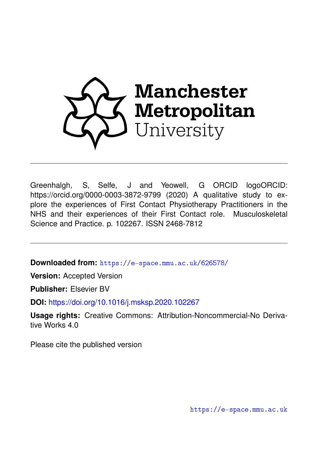

Greenhalgh, S, Selfe, J and Yeowell, G ORCID logoORCID: https://orcid.org/0000-0003-3872-9799 (2020) A qualitative study to explore the experiences of First Contact Physiotherapy Practitioners in the NHS and their experiences of their First Contact role. Musculoskeletal Science and Practice. p. 102267. ISSN 2468-7812

**Downloaded from:** <https://e-space.mmu.ac.uk/626578/>

**Version:** Accepted Version

**Publisher:** Elsevier BV

**DOI:** <https://doi.org/10.1016/j.msksp.2020.102267>

**Usage rights:** Creative Commons: Attribution-Noncommercial-No Derivative Works 4.0

Please cite the published version

<https://e-space.mmu.ac.uk>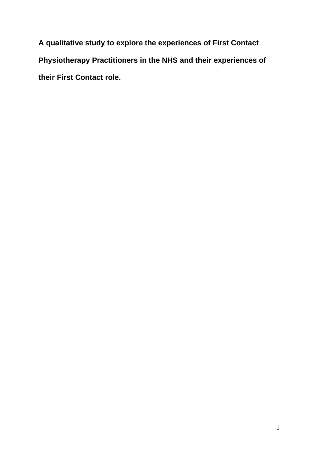**A qualitative study to explore the experiences of First Contact Physiotherapy Practitioners in the NHS and their experiences of their First Contact role.**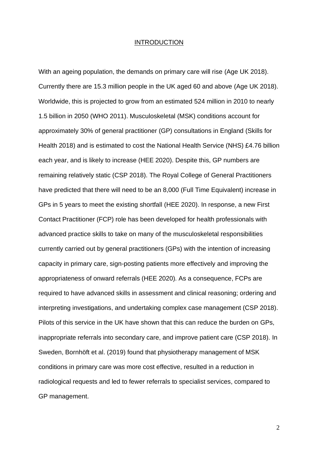#### INTRODUCTION

With an ageing population, the demands on primary care will rise (Age UK 2018). Currently there are 15.3 million people in the UK aged 60 and above (Age UK 2018). Worldwide, this is projected to grow from an estimated 524 million in 2010 to nearly 1.5 billion in 2050 (WHO 2011). Musculoskeletal (MSK) conditions account for approximately 30% of general practitioner (GP) consultations in England (Skills for Health 2018) and is estimated to cost the National Health Service (NHS) £4.76 billion each year, and is likely to increase (HEE 2020). Despite this, GP numbers are remaining relatively static (CSP 2018). The Royal College of General Practitioners have predicted that there will need to be an 8,000 (Full Time Equivalent) increase in GPs in 5 years to meet the existing shortfall (HEE 2020). In response, a new First Contact Practitioner (FCP) role has been developed for health professionals with advanced practice skills to take on many of the musculoskeletal responsibilities currently carried out by general practitioners (GPs) with the intention of increasing capacity in primary care, sign-posting patients more effectively and improving the appropriateness of onward referrals (HEE 2020). As a consequence, FCPs are required to have advanced skills in assessment and clinical reasoning; ordering and interpreting investigations, and undertaking complex case management (CSP 2018). Pilots of this service in the UK have shown that this can reduce the burden on GPs, inappropriate referrals into secondary care, and improve patient care (CSP 2018). In Sweden, Bornhöft et al. (2019) found that physiotherapy management of MSK conditions in primary care was more cost effective, resulted in a reduction in radiological requests and led to fewer referrals to specialist services, compared to GP management.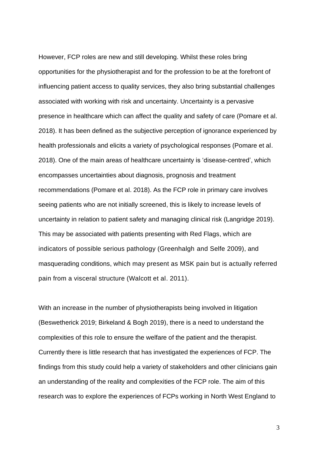However, FCP roles are new and still developing. Whilst these roles bring opportunities for the physiotherapist and for the profession to be at the forefront of influencing patient access to quality services, they also bring substantial challenges associated with working with risk and uncertainty. Uncertainty is a pervasive presence in healthcare which can affect the quality and safety of care (Pomare et al. 2018). It has been defined as the subjective perception of ignorance experienced by health professionals and elicits a variety of psychological responses (Pomare et al. 2018). One of the main areas of healthcare uncertainty is 'disease-centred', which encompasses uncertainties about diagnosis, prognosis and treatment recommendations (Pomare et al. 2018). As the FCP role in primary care involves seeing patients who are not initially screened, this is likely to increase levels of uncertainty in relation to patient safety and managing clinical risk (Langridge 2019). This may be associated with patients presenting with Red Flags, which are indicators of possible serious pathology (Greenhalgh and Selfe 2009), and masquerading conditions, which may present as MSK pain but is actually referred pain from a visceral structure (Walcott et al. 2011).

With an increase in the number of physiotherapists being involved in litigation (Beswetherick 2019; Birkeland & Bogh 2019), there is a need to understand the complexities of this role to ensure the welfare of the patient and the therapist. Currently there is little research that has investigated the experiences of FCP. The findings from this study could help a variety of stakeholders and other clinicians gain an understanding of the reality and complexities of the FCP role. The aim of this research was to explore the experiences of FCPs working in North West England to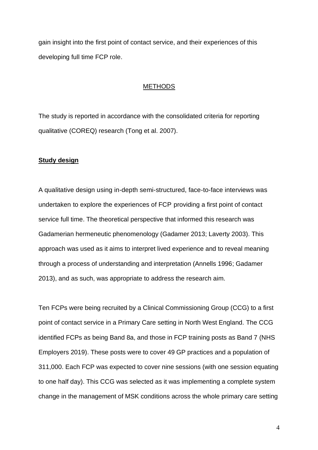gain insight into the first point of contact service, and their experiences of this developing full time FCP role.

#### **METHODS**

The study is reported in accordance with the consolidated criteria for reporting qualitative (COREQ) research (Tong et al. 2007).

### **Study design**

A qualitative design using in-depth semi-structured, face-to-face interviews was undertaken to explore the experiences of FCP providing a first point of contact service full time. The theoretical perspective that informed this research was Gadamerian hermeneutic phenomenology (Gadamer 2013; Laverty 2003). This approach was used as it aims to interpret lived experience and to reveal meaning through a process of understanding and interpretation (Annells 1996; Gadamer 2013), and as such, was appropriate to address the research aim.

Ten FCPs were being recruited by a Clinical Commissioning Group (CCG) to a first point of contact service in a Primary Care setting in North West England. The CCG identified FCPs as being Band 8a, and those in FCP training posts as Band 7 (NHS Employers 2019). These posts were to cover 49 GP practices and a population of 311,000. Each FCP was expected to cover nine sessions (with one session equating to one half day). This CCG was selected as it was implementing a complete system change in the management of MSK conditions across the whole primary care setting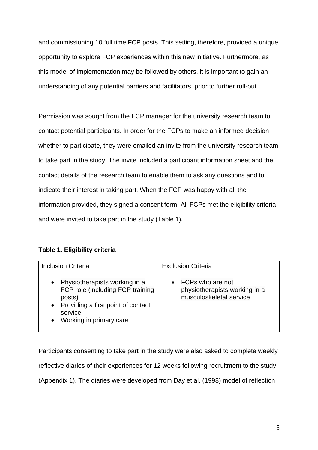and commissioning 10 full time FCP posts. This setting, therefore, provided a unique opportunity to explore FCP experiences within this new initiative. Furthermore, as this model of implementation may be followed by others, it is important to gain an understanding of any potential barriers and facilitators, prior to further roll-out.

Permission was sought from the FCP manager for the university research team to contact potential participants. In order for the FCPs to make an informed decision whether to participate, they were emailed an invite from the university research team to take part in the study. The invite included a participant information sheet and the contact details of the research team to enable them to ask any questions and to indicate their interest in taking part. When the FCP was happy with all the information provided, they signed a consent form. All FCPs met the eligibility criteria and were invited to take part in the study (Table 1).

# **Table 1. Eligibility criteria**

| <b>Inclusion Criteria</b>                                                                                                                                                                      | <b>Exclusion Criteria</b>                                                              |
|------------------------------------------------------------------------------------------------------------------------------------------------------------------------------------------------|----------------------------------------------------------------------------------------|
| Physiotherapists working in a<br>$\bullet$<br>FCP role (including FCP training<br>posts)<br>Providing a first point of contact<br>$\bullet$<br>service<br>Working in primary care<br>$\bullet$ | $\bullet$ FCPs who are not<br>physiotherapists working in a<br>musculoskeletal service |

Participants consenting to take part in the study were also asked to complete weekly reflective diaries of their experiences for 12 weeks following recruitment to the study (Appendix 1). The diaries were developed from Day et al. (1998) model of reflection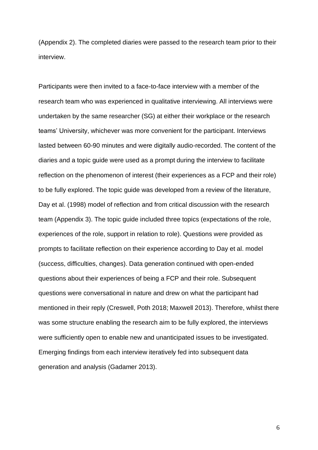(Appendix 2). The completed diaries were passed to the research team prior to their interview.

Participants were then invited to a face-to-face interview with a member of the research team who was experienced in qualitative interviewing. All interviews were undertaken by the same researcher (SG) at either their workplace or the research teams' University, whichever was more convenient for the participant. Interviews lasted between 60-90 minutes and were digitally audio-recorded. The content of the diaries and a topic guide were used as a prompt during the interview to facilitate reflection on the phenomenon of interest (their experiences as a FCP and their role) to be fully explored. The topic guide was developed from a review of the literature, Day et al. (1998) model of reflection and from critical discussion with the research team (Appendix 3). The topic guide included three topics (expectations of the role, experiences of the role, support in relation to role). Questions were provided as prompts to facilitate reflection on their experience according to Day et al. model (success, difficulties, changes). Data generation continued with open-ended questions about their experiences of being a FCP and their role. Subsequent questions were conversational in nature and drew on what the participant had mentioned in their reply (Creswell, Poth 2018; Maxwell 2013). Therefore, whilst there was some structure enabling the research aim to be fully explored, the interviews were sufficiently open to enable new and unanticipated issues to be investigated. Emerging findings from each interview iteratively fed into subsequent data generation and analysis (Gadamer 2013).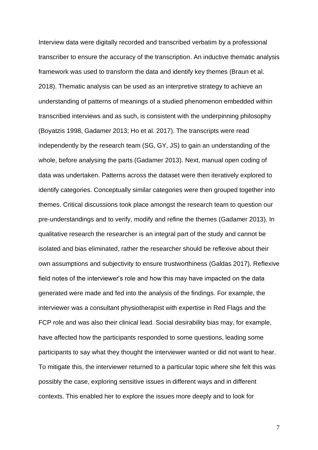Interview data were digitally recorded and transcribed verbatim by a professional transcriber to ensure the accuracy of the transcription. An inductive thematic analysis framework was used to transform the data and identify key themes (Braun et al. 2018). Thematic analysis can be used as an interpretive strategy to achieve an understanding of patterns of meanings of a studied phenomenon embedded within transcribed interviews and as such, is consistent with the underpinning philosophy (Boyatzis 1998, Gadamer 2013; Ho et al. 2017). The transcripts were read independently by the research team (SG, GY, JS) to gain an understanding of the whole, before analysing the parts (Gadamer 2013). Next, manual open coding of data was undertaken. Patterns across the dataset were then iteratively explored to identify categories. Conceptually similar categories were then grouped together into themes. Critical discussions took place amongst the research team to question our pre-understandings and to verify, modify and refine the themes (Gadamer 2013). In qualitative research the researcher is an integral part of the study and cannot be isolated and bias eliminated, rather the researcher should be reflexive about their own assumptions and subjectivity to ensure trustworthiness (Galdas 2017). Reflexive field notes of the interviewer's role and how this may have impacted on the data generated were made and fed into the analysis of the findings. For example, the interviewer was a consultant physiotherapist with expertise in Red Flags and the FCP role and was also their clinical lead. Social desirability bias may, for example, have affected how the participants responded to some questions, leading some participants to say what they thought the interviewer wanted or did not want to hear. To mitigate this, the interviewer returned to a particular topic where she felt this was possibly the case, exploring sensitive issues in different ways and in different contexts. This enabled her to explore the issues more deeply and to look for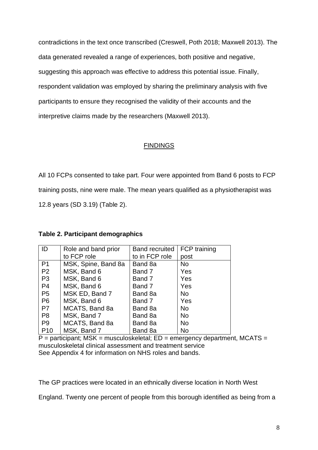contradictions in the text once transcribed (Creswell, Poth 2018; Maxwell 2013). The data generated revealed a range of experiences, both positive and negative, suggesting this approach was effective to address this potential issue. Finally, respondent validation was employed by sharing the preliminary analysis with five participants to ensure they recognised the validity of their accounts and the interpretive claims made by the researchers (Maxwell 2013).

# **FINDINGS**

All 10 FCPs consented to take part. Four were appointed from Band 6 posts to FCP training posts, nine were male. The mean years qualified as a physiotherapist was 12.8 years (SD 3.19) (Table 2).

| ID              | Role and band prior | <b>Band recruited</b> | <b>FCP</b> training |
|-----------------|---------------------|-----------------------|---------------------|
|                 | to FCP role         | to in FCP role        | post                |
| P <sub>1</sub>  | MSK, Spine, Band 8a | Band 8a               | <b>No</b>           |
| P <sub>2</sub>  | MSK, Band 6         | Band 7                | Yes                 |
| P <sub>3</sub>  | MSK, Band 6         | Band 7                | Yes                 |
| P4              | MSK, Band 6         | Band 7                | Yes                 |
| P <sub>5</sub>  | MSK ED, Band 7      | Band 8a               | <b>No</b>           |
| P <sub>6</sub>  | MSK, Band 6         | Band 7                | Yes                 |
| P7              | MCATS, Band 8a      | Band 8a               | <b>No</b>           |
| P <sub>8</sub>  | MSK, Band 7         | Band 8a               | <b>No</b>           |
| P <sub>9</sub>  | MCATS, Band 8a      | Band 8a               | <b>No</b>           |
| P <sub>10</sub> | MSK, Band 7         | Band 8a               | No                  |

### **Table 2. Participant demographics**

 $P =$  participant; MSK = musculoskeletal; ED = emergency department, MCATS = musculoskeletal clinical assessment and treatment service See Appendix 4 for information on NHS roles and bands.

The GP practices were located in an ethnically diverse location in North West

England. Twenty one percent of people from this borough identified as being from a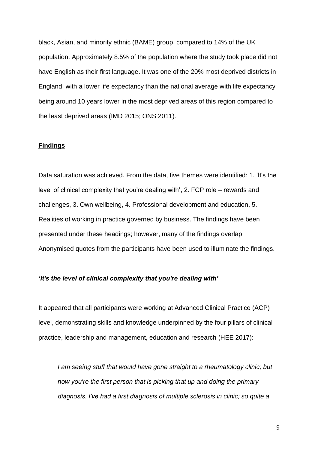black, Asian, and minority ethnic (BAME) group, compared to 14% of the UK population. Approximately 8.5% of the population where the study took place did not have English as their first language. It was one of the 20% most deprived districts in England, with a lower life expectancy than the national average with life expectancy being around 10 years lower in the most deprived areas of this region compared to the least deprived areas (IMD 2015; ONS 2011).

#### **Findings**

Data saturation was achieved. From the data, five themes were identified: 1. 'It's the level of clinical complexity that you're dealing with', 2. FCP role – rewards and challenges, 3. Own wellbeing, 4. Professional development and education, 5. Realities of working in practice governed by business. The findings have been presented under these headings; however, many of the findings overlap. Anonymised quotes from the participants have been used to illuminate the findings.

## *'It's the level of clinical complexity that you're dealing with'*

It appeared that all participants were working at Advanced Clinical Practice (ACP) level, demonstrating skills and knowledge underpinned by the four pillars of clinical practice, leadership and management, education and research (HEE 2017):

*I am seeing stuff that would have gone straight to a rheumatology clinic; but now you're the first person that is picking that up and doing the primary diagnosis. I've had a first diagnosis of multiple sclerosis in clinic; so quite a*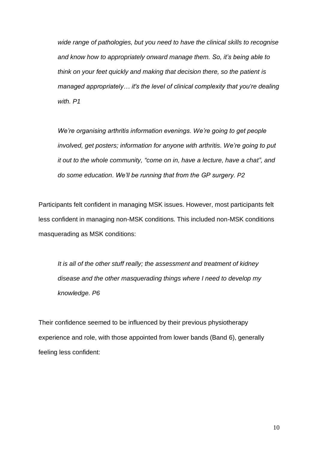*wide range of pathologies, but you need to have the clinical skills to recognise and know how to appropriately onward manage them. So, it's being able to think on your feet quickly and making that decision there, so the patient is managed appropriately… it's the level of clinical complexity that you're dealing with. P1*

*We're organising arthritis information evenings. We're going to get people involved, get posters; information for anyone with arthritis. We're going to put it out to the whole community, "come on in, have a lecture, have a chat", and do some education. We'll be running that from the GP surgery. P2*

Participants felt confident in managing MSK issues. However, most participants felt less confident in managing non-MSK conditions. This included non-MSK conditions masquerading as MSK conditions:

*It is all of the other stuff really; the assessment and treatment of kidney disease and the other masquerading things where I need to develop my knowledge. P6*

Their confidence seemed to be influenced by their previous physiotherapy experience and role, with those appointed from lower bands (Band 6), generally feeling less confident: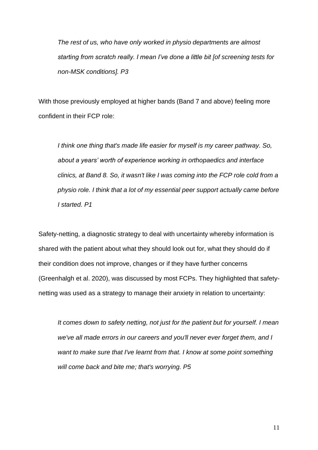*The rest of us, who have only worked in physio departments are almost starting from scratch really. I mean I've done a little bit [of screening tests for non-MSK conditions]. P3*

With those previously employed at higher bands (Band 7 and above) feeling more confident in their FCP role:

*I think one thing that's made life easier for myself is my career pathway. So, about a years' worth of experience working in orthopaedics and interface clinics, at Band 8. So, it wasn't like I was coming into the FCP role cold from a physio role. I think that a lot of my essential peer support actually came before I started. P1*

Safety-netting, a diagnostic strategy to deal with uncertainty whereby information is shared with the patient about what they should look out for, what they should do if their condition does not improve, changes or if they have further concerns (Greenhalgh et al. 2020), was discussed by most FCPs. They highlighted that safetynetting was used as a strategy to manage their anxiety in relation to uncertainty:

*It comes down to safety netting, not just for the patient but for yourself. I mean we've all made errors in our careers and you'll never ever forget them, and I want to make sure that I've learnt from that. I know at some point something will come back and bite me; that's worrying. P5*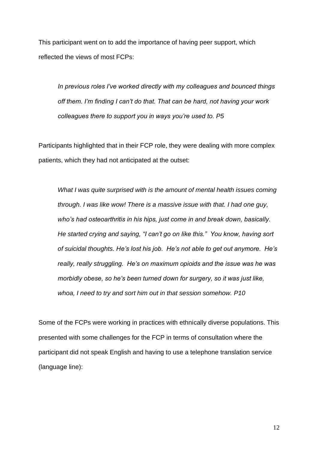This participant went on to add the importance of having peer support, which reflected the views of most FCPs:

*In previous roles I've worked directly with my colleagues and bounced things off them. I'm finding I can't do that. That can be hard, not having your work colleagues there to support you in ways you're used to. P5*

Participants highlighted that in their FCP role, they were dealing with more complex patients, which they had not anticipated at the outset:

*What I was quite surprised with is the amount of mental health issues coming through. I was like wow! There is a massive issue with that. I had one guy, who's had osteoarthritis in his hips, just come in and break down, basically. He started crying and saying, "I can't go on like this." You know, having sort of suicidal thoughts. He's lost his job. He's not able to get out anymore. He's really, really struggling. He's on maximum opioids and the issue was he was morbidly obese, so he's been turned down for surgery, so it was just like, whoa, I need to try and sort him out in that session somehow. P10*

Some of the FCPs were working in practices with ethnically diverse populations. This presented with some challenges for the FCP in terms of consultation where the participant did not speak English and having to use a telephone translation service (language line):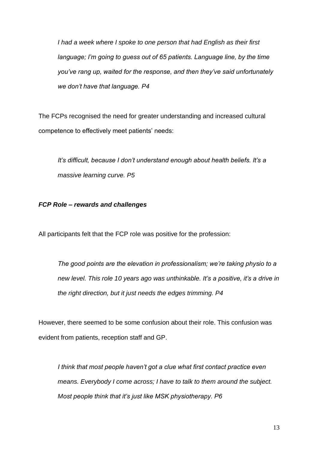*I had a week where I spoke to one person that had English as their first language; I'm going to guess out of 65 patients. Language line, by the time you've rang up, waited for the response, and then they've said unfortunately we don't have that language. P4*

The FCPs recognised the need for greater understanding and increased cultural competence to effectively meet patients' needs:

*It's difficult, because I don't understand enough about health beliefs. It's a massive learning curve. P5*

# *FCP Role – rewards and challenges*

All participants felt that the FCP role was positive for the profession:

*The good points are the elevation in professionalism; we're taking physio to a new level. This role 10 years ago was unthinkable. It's a positive, it's a drive in the right direction, but it just needs the edges trimming. P4*

However, there seemed to be some confusion about their role. This confusion was evident from patients, reception staff and GP.

*I think that most people haven't got a clue what first contact practice even means. Everybody I come across; I have to talk to them around the subject. Most people think that it's just like MSK physiotherapy. P6*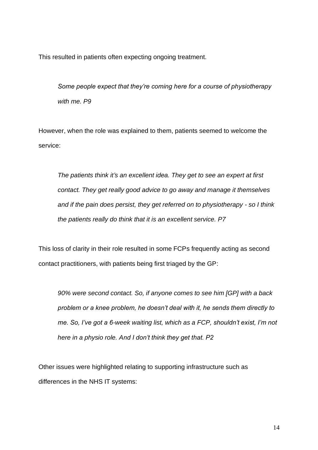This resulted in patients often expecting ongoing treatment.

*Some people expect that they're coming here for a course of physiotherapy with me. P9*

However, when the role was explained to them, patients seemed to welcome the service:

*The patients think it's an excellent idea. They get to see an expert at first contact. They get really good advice to go away and manage it themselves and if the pain does persist, they get referred on to physiotherapy - so I think the patients really do think that it is an excellent service. P7* 

This loss of clarity in their role resulted in some FCPs frequently acting as second contact practitioners, with patients being first triaged by the GP:

*90% were second contact. So, if anyone comes to see him [GP] with a back problem or a knee problem, he doesn't deal with it, he sends them directly to me. So, I've got a 6-week waiting list, which as a FCP, shouldn't exist, I'm not here in a physio role. And I don't think they get that. P2*

Other issues were highlighted relating to supporting infrastructure such as differences in the NHS IT systems: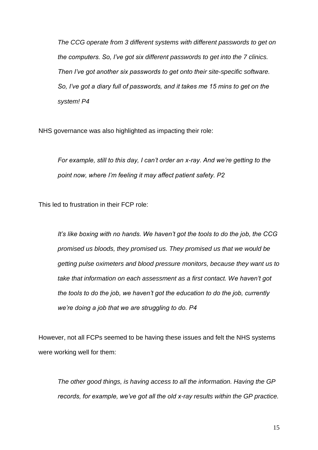*The CCG operate from 3 different systems with different passwords to get on the computers. So, I've got six different passwords to get into the 7 clinics. Then I've got another six passwords to get onto their site-specific software. So, I've got a diary full of passwords, and it takes me 15 mins to get on the system! P4*

NHS governance was also highlighted as impacting their role:

*For example, still to this day, I can't order an x-ray. And we're getting to the point now, where I'm feeling it may affect patient safety. P2*

This led to frustration in their FCP role:

*It's like boxing with no hands. We haven't got the tools to do the job, the CCG promised us bloods, they promised us. They promised us that we would be getting pulse oximeters and blood pressure monitors, because they want us to take that information on each assessment as a first contact. We haven't got the tools to do the job, we haven't got the education to do the job, currently we're doing a job that we are struggling to do. P4*

However, not all FCPs seemed to be having these issues and felt the NHS systems were working well for them:

*The other good things, is having access to all the information. Having the GP records, for example, we've got all the old x-ray results within the GP practice.*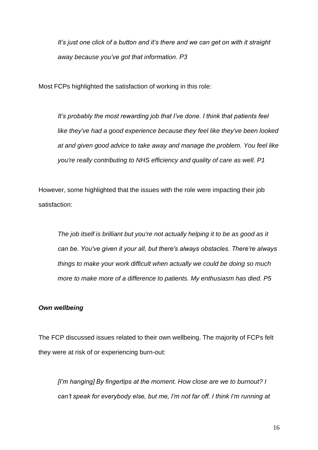*It's just one click of a button and it's there and we can get on with it straight away because you've got that information. P3*

Most FCPs highlighted the satisfaction of working in this role:

*It's probably the most rewarding job that I've done. I think that patients feel like they've had a good experience because they feel like they've been looked at and given good advice to take away and manage the problem. You feel like you're really contributing to NHS efficiency and quality of care as well. P1*

However, some highlighted that the issues with the role were impacting their job satisfaction:

*The job itself is brilliant but you're not actually helping it to be as good as it can be. You've given it your all, but there's always obstacles. There're always things to make your work difficult when actually we could be doing so much more to make more of a difference to patients. My enthusiasm has died. P5*

#### *Own wellbeing*

The FCP discussed issues related to their own wellbeing. The majority of FCPs felt they were at risk of or experiencing burn-out:

*[I'm hanging] By fingertips at the moment. How close are we to burnout? I can't speak for everybody else, but me, I'm not far off. I think I'm running at*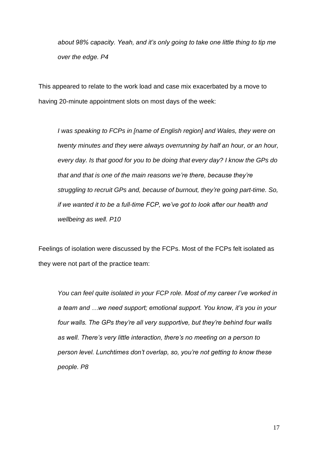*about 98% capacity. Yeah, and it's only going to take one little thing to tip me over the edge. P4*

This appeared to relate to the work load and case mix exacerbated by a move to having 20-minute appointment slots on most days of the week:

*I was speaking to FCPs in [name of English region] and Wales, they were on twenty minutes and they were always overrunning by half an hour, or an hour, every day. Is that good for you to be doing that every day? I know the GPs do that and that is one of the main reasons we're there, because they're struggling to recruit GPs and, because of burnout, they're going part-time. So, if we wanted it to be a full-time FCP, we've got to look after our health and wellbeing as well. P10* 

Feelings of isolation were discussed by the FCPs. Most of the FCPs felt isolated as they were not part of the practice team:

*You can feel quite isolated in your FCP role. Most of my career I've worked in a team and …we need support; emotional support. You know, it's you in your four walls. The GPs they're all very supportive, but they're behind four walls as well. There's very little interaction, there's no meeting on a person to person level. Lunchtimes don't overlap, so, you're not getting to know these people. P8*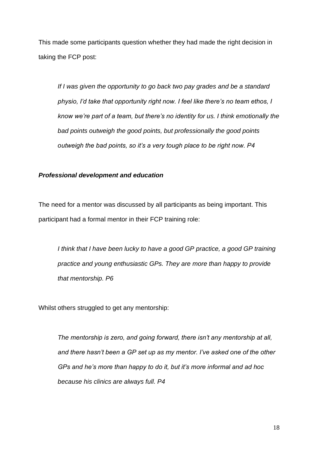This made some participants question whether they had made the right decision in taking the FCP post:

*If I was given the opportunity to go back two pay grades and be a standard physio, I'd take that opportunity right now. I feel like there's no team ethos, I know we're part of a team, but there's no identity for us. I think emotionally the bad points outweigh the good points, but professionally the good points outweigh the bad points, so it's a very tough place to be right now. P4*

## *Professional development and education*

The need for a mentor was discussed by all participants as being important. This participant had a formal mentor in their FCP training role:

*I think that I have been lucky to have a good GP practice, a good GP training practice and young enthusiastic GPs. They are more than happy to provide that mentorship. P6*

Whilst others struggled to get any mentorship:

*The mentorship is zero, and going forward, there isn't any mentorship at all, and there hasn't been a GP set up as my mentor. I've asked one of the other GPs and he's more than happy to do it, but it's more informal and ad hoc because his clinics are always full. P4*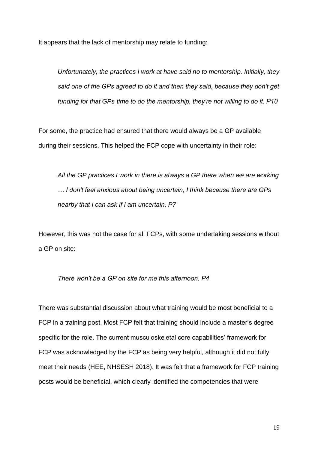It appears that the lack of mentorship may relate to funding:

*Unfortunately, the practices I work at have said no to mentorship. Initially, they said one of the GPs agreed to do it and then they said, because they don't get funding for that GPs time to do the mentorship, they're not willing to do it. P10*

For some, the practice had ensured that there would always be a GP available during their sessions. This helped the FCP cope with uncertainty in their role:

*All the GP practices I work in there is always a GP there when we are working … I don't feel anxious about being uncertain, I think because there are GPs nearby that I can ask if I am uncertain. P7*

However, this was not the case for all FCPs, with some undertaking sessions without a GP on site:

# *There won't be a GP on site for me this afternoon. P4*

There was substantial discussion about what training would be most beneficial to a FCP in a training post. Most FCP felt that training should include a master's degree specific for the role. The current musculoskeletal core capabilities' framework for FCP was acknowledged by the FCP as being very helpful, although it did not fully meet their needs (HEE, NHSESH 2018). It was felt that a framework for FCP training posts would be beneficial, which clearly identified the competencies that were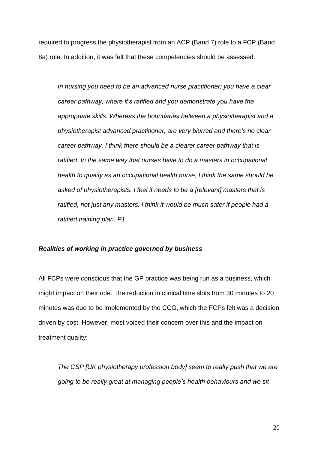required to progress the physiotherapist from an ACP (Band 7) role to a FCP (Band 8a) role. In addition, it was felt that these competencies should be assessed:

*In nursing you need to be an advanced nurse practitioner; you have a clear career pathway, where it's ratified and you demonstrate you have the appropriate skills. Whereas the boundaries between a physiotherapist and a physiotherapist advanced practitioner, are very blurred and there's no clear career pathway. I think there should be a clearer career pathway that is ratified. In the same way that nurses have to do a masters in occupational health to qualify as an occupational health nurse, I think the same should be asked of physiotherapists. I feel it needs to be a [relevant] masters that is ratified, not just any masters. I think it would be much safer if people had a ratified training plan. P1*

## *Realities of working in practice governed by business*

All FCPs were conscious that the GP practice was being run as a business, which might impact on their role. The reduction in clinical time slots from 30 minutes to 20 minutes was due to be implemented by the CCG, which the FCPs felt was a decision driven by cost. However, most voiced their concern over this and the impact on treatment quality:

*The CSP [UK physiotherapy profession body] seem to really push that we are going to be really great at managing people's health behaviours and we sit*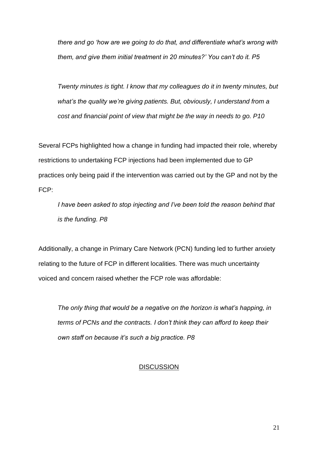*there and go 'how are we going to do that, and differentiate what's wrong with them, and give them initial treatment in 20 minutes?' You can't do it. P5*

*Twenty minutes is tight. I know that my colleagues do it in twenty minutes, but what's the quality we're giving patients. But, obviously, I understand from a cost and financial point of view that might be the way in needs to go. P10* 

Several FCPs highlighted how a change in funding had impacted their role, whereby restrictions to undertaking FCP injections had been implemented due to GP practices only being paid if the intervention was carried out by the GP and not by the FCP:

*I have been asked to stop injecting and I've been told the reason behind that is the funding. P8*

Additionally, a change in Primary Care Network (PCN) funding led to further anxiety relating to the future of FCP in different localities. There was much uncertainty voiced and concern raised whether the FCP role was affordable:

*The only thing that would be a negative on the horizon is what's happing, in terms of PCNs and the contracts. I don't think they can afford to keep their own staff on because it's such a big practice. P8*

# **DISCUSSION**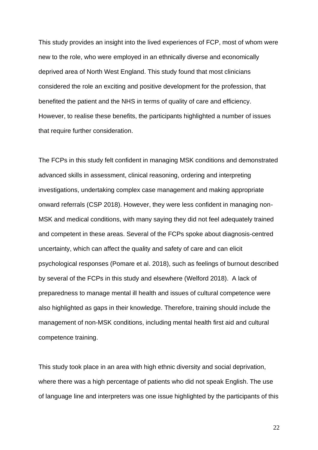This study provides an insight into the lived experiences of FCP, most of whom were new to the role, who were employed in an ethnically diverse and economically deprived area of North West England. This study found that most clinicians considered the role an exciting and positive development for the profession, that benefited the patient and the NHS in terms of quality of care and efficiency. However, to realise these benefits, the participants highlighted a number of issues that require further consideration.

The FCPs in this study felt confident in managing MSK conditions and demonstrated advanced skills in assessment, clinical reasoning, ordering and interpreting investigations, undertaking complex case management and making appropriate onward referrals (CSP 2018). However, they were less confident in managing non-MSK and medical conditions, with many saying they did not feel adequately trained and competent in these areas. Several of the FCPs spoke about diagnosis-centred uncertainty, which can affect the quality and safety of care and can elicit psychological responses (Pomare et al. 2018), such as feelings of burnout described by several of the FCPs in this study and elsewhere (Welford 2018). A lack of preparedness to manage mental ill health and issues of cultural competence were also highlighted as gaps in their knowledge. Therefore, training should include the management of non-MSK conditions, including mental health first aid and cultural competence training.

This study took place in an area with high ethnic diversity and social deprivation, where there was a high percentage of patients who did not speak English. The use of language line and interpreters was one issue highlighted by the participants of this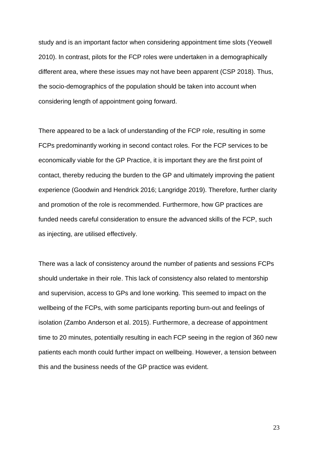study and is an important factor when considering appointment time slots (Yeowell 2010). In contrast, pilots for the FCP roles were undertaken in a demographically different area, where these issues may not have been apparent (CSP 2018). Thus, the socio-demographics of the population should be taken into account when considering length of appointment going forward.

There appeared to be a lack of understanding of the FCP role, resulting in some FCPs predominantly working in second contact roles. For the FCP services to be economically viable for the GP Practice, it is important they are the first point of contact, thereby reducing the burden to the GP and ultimately improving the patient experience (Goodwin and Hendrick 2016; Langridge 2019). Therefore, further clarity and promotion of the role is recommended. Furthermore, how GP practices are funded needs careful consideration to ensure the advanced skills of the FCP, such as injecting, are utilised effectively.

There was a lack of consistency around the number of patients and sessions FCPs should undertake in their role. This lack of consistency also related to mentorship and supervision, access to GPs and lone working. This seemed to impact on the wellbeing of the FCPs, with some participants reporting burn-out and feelings of isolation (Zambo Anderson et al. 2015). Furthermore, a decrease of appointment time to 20 minutes, potentially resulting in each FCP seeing in the region of 360 new patients each month could further impact on wellbeing. However, a tension between this and the business needs of the GP practice was evident.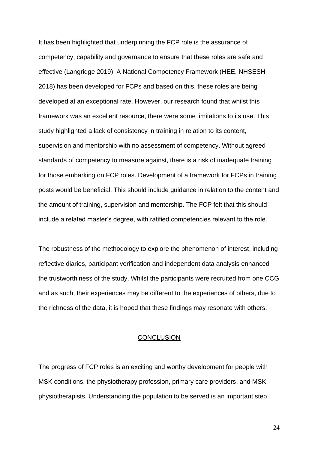It has been highlighted that underpinning the FCP role is the assurance of competency, capability and governance to ensure that these roles are safe and effective (Langridge 2019). A National Competency Framework (HEE, NHSESH 2018) has been developed for FCPs and based on this, these roles are being developed at an exceptional rate. However, our research found that whilst this framework was an excellent resource, there were some limitations to its use. This study highlighted a lack of consistency in training in relation to its content, supervision and mentorship with no assessment of competency. Without agreed standards of competency to measure against, there is a risk of inadequate training for those embarking on FCP roles. Development of a framework for FCPs in training posts would be beneficial. This should include guidance in relation to the content and the amount of training, supervision and mentorship. The FCP felt that this should include a related master's degree, with ratified competencies relevant to the role.

The robustness of the methodology to explore the phenomenon of interest, including reflective diaries, participant verification and independent data analysis enhanced the trustworthiness of the study. Whilst the participants were recruited from one CCG and as such, their experiences may be different to the experiences of others, due to the richness of the data, it is hoped that these findings may resonate with others.

#### **CONCLUSION**

The progress of FCP roles is an exciting and worthy development for people with MSK conditions, the physiotherapy profession, primary care providers, and MSK physiotherapists. Understanding the population to be served is an important step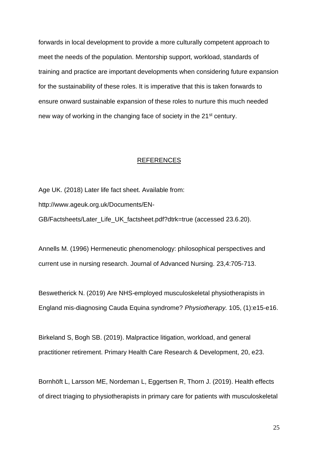forwards in local development to provide a more culturally competent approach to meet the needs of the population. Mentorship support, workload, standards of training and practice are important developments when considering future expansion for the sustainability of these roles. It is imperative that this is taken forwards to ensure onward sustainable expansion of these roles to nurture this much needed new way of working in the changing face of society in the 21<sup>st</sup> century.

### **REFERENCES**

Age UK. (2018) Later life fact sheet. Available from: http://www.ageuk.org.uk/Documents/EN-GB/Factsheets/Later\_Life\_UK\_factsheet.pdf?dtrk=true (accessed 23.6.20).

Annells M. (1996) Hermeneutic phenomenology: philosophical perspectives and current use in nursing research. Journal of Advanced Nursing. 23,4:705-713.

Beswetherick N. (2019) Are NHS-employed musculoskeletal physiotherapists in England mis-diagnosing Cauda Equina syndrome? *Physiotherapy.* 105, (1):e15-e16.

Birkeland S, Bogh SB. (2019). Malpractice litigation, workload, and general practitioner retirement. Primary Health Care Research & Development, 20, e23.

Bornhöft L, Larsson ME, Nordeman L, Eggertsen R, Thorn J. (2019). Health effects of direct triaging to physiotherapists in primary care for patients with musculoskeletal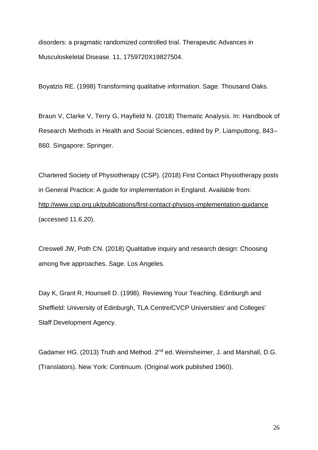disorders: a pragmatic randomized controlled trial. Therapeutic Advances in Musculoskeletal Disease. 11, 1759720X19827504.

Boyatzis RE. (1998) Transforming qualitative information. Sage. Thousand Oaks.

Braun V, Clarke V, Terry G, Hayfield N. (2018) Thematic Analysis. In: Handbook of Research Methods in Health and Social Sciences, edited by P. Liamputtong, 843– 860. Singapore: Springer.

Chartered Society of Physiotherapy (CSP). (2018) First Contact Physiotherapy posts in General Practice: A guide for implementation in England. Available from: <http://www.csp.org.uk/publications/first-contact-physios-implementation-guidance> (accessed 11.6.20).

Creswell JW, Poth CN. (2018) Qualitative inquiry and research design: Choosing among five approaches. Sage. Los Angeles.

Day K, Grant R, Hounsell D. (1998). Reviewing Your Teaching. Edinburgh and Sheffield: University of Edinburgh, TLA Centre/CVCP Universities' and Colleges' Staff Development Agency.

Gadamer HG. (2013) Truth and Method. 2<sup>nd</sup> ed. Weinsheimer, J. and Marshall, D.G. (Translators). New York: Continuum. (Original work published 1960).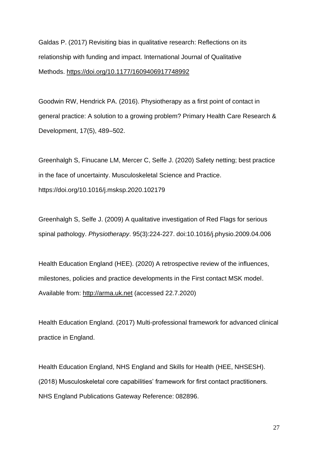Galdas P. (2017) Revisiting bias in qualitative research: Reflections on its relationship with funding and impact. International Journal of Qualitative Methods. <https://doi.org/10.1177/1609406917748992>

Goodwin RW, Hendrick PA. (2016). Physiotherapy as a first point of contact in general practice: A solution to a growing problem? Primary Health Care Research & Development, 17(5), 489–502.

Greenhalgh S, Finucane LM, Mercer C, Selfe J. (2020) Safety netting; best practice in the face of uncertainty. Musculoskeletal Science and Practice. https://doi.org/10.1016/j.msksp.2020.102179

Greenhalgh S, Selfe J. (2009) A qualitative investigation of Red Flags for serious spinal pathology. *Physiotherapy*. 95(3):224-227. doi:10.1016/j.physio.2009.04.006

Health Education England (HEE). (2020) A retrospective review of the influences, milestones, policies and practice developments in the First contact MSK model. Available from: [http://arma.uk.net](http://arma.uk.net/) (accessed 22.7.2020)

Health Education England. (2017) Multi-professional framework for advanced clinical practice in England.

Health Education England, NHS England and Skills for Health (HEE, NHSESH). (2018) Musculoskeletal core capabilities' framework for first contact practitioners. NHS England Publications Gateway Reference: 082896.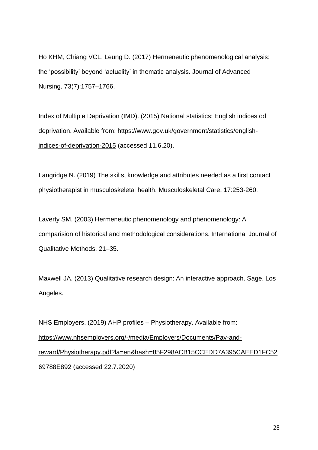Ho KHM, Chiang VCL, Leung D. (2017) Hermeneutic phenomenological analysis: the 'possibility' beyond 'actuality' in thematic analysis. Journal of Advanced Nursing. 73(7):1757–1766.

Index of Multiple Deprivation (IMD). (2015) National statistics: English indices od deprivation. Available from: [https://www.gov.uk/government/statistics/english](https://www.gov.uk/government/statistics/english-indices-of-deprivation-2015)[indices-of-deprivation-2015](https://www.gov.uk/government/statistics/english-indices-of-deprivation-2015) (accessed 11.6.20).

Langridge N. (2019) The skills, knowledge and attributes needed as a first contact physiotherapist in musculoskeletal health. Musculoskeletal Care. 17:253-260.

Laverty SM. (2003) Hermeneutic phenomenology and phenomenology: A comparision of historical and methodological considerations. International Journal of Qualitative Methods. 21–35.

Maxwell JA. (2013) Qualitative research design: An interactive approach. Sage. Los Angeles.

NHS Employers. (2019) AHP profiles – Physiotherapy. Available from: [https://www.nhsemployers.org/-/media/Employers/Documents/Pay-and](https://www.nhsemployers.org/-/media/Employers/Documents/Pay-and-reward/Physiotherapy.pdf?la=en&hash=85F298ACB15CCEDD7A395CAEED1FC5269788E892)[reward/Physiotherapy.pdf?la=en&hash=85F298ACB15CCEDD7A395CAEED1FC52](https://www.nhsemployers.org/-/media/Employers/Documents/Pay-and-reward/Physiotherapy.pdf?la=en&hash=85F298ACB15CCEDD7A395CAEED1FC5269788E892) [69788E892](https://www.nhsemployers.org/-/media/Employers/Documents/Pay-and-reward/Physiotherapy.pdf?la=en&hash=85F298ACB15CCEDD7A395CAEED1FC5269788E892) (accessed 22.7.2020)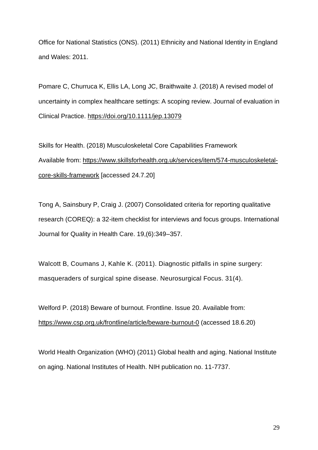Office for National Statistics (ONS). (2011) Ethnicity and National Identity in England and Wales: 2011.

Pomare C, Churruca K, Ellis LA, Long JC, Braithwaite J. (2018) A revised model of uncertainty in complex healthcare settings: A scoping review. Journal of evaluation in Clinical Practice.<https://doi.org/10.1111/jep.13079>

Skills for Health. (2018) Musculoskeletal Core Capabilities Framework Available from: [https://www.skillsforhealth.org.uk/services/item/574-musculoskeletal](https://www.skillsforhealth.org.uk/services/item/574-musculoskeletal-core-skills-framework)[core-skills-framework](https://www.skillsforhealth.org.uk/services/item/574-musculoskeletal-core-skills-framework) [accessed 24.7.20]

Tong A, Sainsbury P, Craig J. (2007) Consolidated criteria for reporting qualitative research (COREQ): a 32-item checklist for interviews and focus groups. International Journal for Quality in Health Care. 19,(6):349–357.

Walcott B, Coumans J, Kahle K. (2011). Diagnostic pitfalls in spine surgery: masqueraders of surgical spine disease. Neurosurgical Focus. 31(4).

Welford P. (2018) Beware of burnout. Frontline. Issue 20. Available from: <https://www.csp.org.uk/frontline/article/beware-burnout-0> (accessed 18.6.20)

World Health Organization (WHO) (2011) Global health and aging. National Institute on aging. National Institutes of Health. NIH publication no. 11-7737.